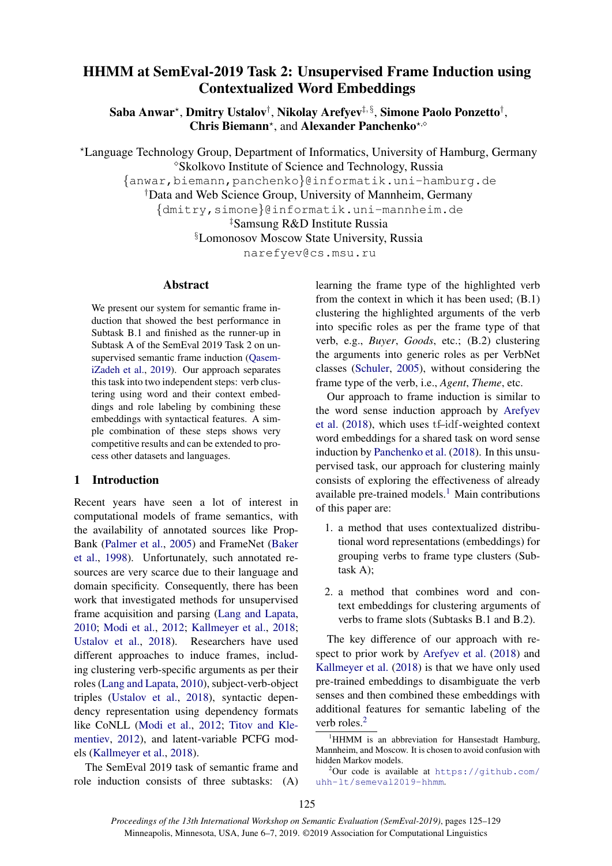# HHMM at SemEval-2019 Task 2: Unsupervised Frame Induction using Contextualized Word Embeddings

Saba Anwar\*, Dmitry Ustalov†, Nikolay Arefyev‡,§, Simone Paolo Ponzetto†, Chris Biemann<sup>\*</sup>, and Alexander Panchenko<sup>\*,o</sup>

?Language Technology Group, Department of Informatics, University of Hamburg, Germany Skolkovo Institute of Science and Technology, Russia

{anwar,biemann,panchenko}@informatik.uni-hamburg.de

†Data and Web Science Group, University of Mannheim, Germany

{dmitry,simone}@informatik.uni-mannheim.de

‡Samsung R&D Institute Russia

§Lomonosov Moscow State University, Russia

narefyev@cs.msu.ru

# Abstract

We present our system for semantic frame induction that showed the best performance in Subtask B.1 and finished as the runner-up in Subtask A of the SemEval 2019 Task 2 on unsupervised semantic frame induction [\(Qasem](#page-4-0)[iZadeh et al.,](#page-4-0) [2019\)](#page-4-0). Our approach separates this task into two independent steps: verb clustering using word and their context embeddings and role labeling by combining these embeddings with syntactical features. A simple combination of these steps shows very competitive results and can be extended to process other datasets and languages.

### 1 Introduction

Recent years have seen a lot of interest in computational models of frame semantics, with the availability of annotated sources like Prop-Bank [\(Palmer et al.,](#page-4-1) [2005\)](#page-4-1) and FrameNet [\(Baker](#page-3-0) [et al.,](#page-3-0) [1998\)](#page-3-0). Unfortunately, such annotated resources are very scarce due to their language and domain specificity. Consequently, there has been work that investigated methods for unsupervised frame acquisition and parsing [\(Lang and Lapata,](#page-4-2) [2010;](#page-4-2) [Modi et al.,](#page-4-3) [2012;](#page-4-3) [Kallmeyer et al.,](#page-4-4) [2018;](#page-4-4) [Ustalov et al.,](#page-4-5) [2018\)](#page-4-5). Researchers have used different approaches to induce frames, including clustering verb-specific arguments as per their roles [\(Lang and Lapata,](#page-4-2) [2010\)](#page-4-2), subject-verb-object triples [\(Ustalov et al.,](#page-4-5) [2018\)](#page-4-5), syntactic dependency representation using dependency formats like CoNLL [\(Modi et al.,](#page-4-3) [2012;](#page-4-3) [Titov and Kle](#page-4-6)[mentiev,](#page-4-6) [2012\)](#page-4-6), and latent-variable PCFG models [\(Kallmeyer et al.,](#page-4-4) [2018\)](#page-4-4).

The SemEval 2019 task of semantic frame and role induction consists of three subtasks: (A) learning the frame type of the highlighted verb from the context in which it has been used; (B.1) clustering the highlighted arguments of the verb into specific roles as per the frame type of that verb, e.g., *Buyer*, *Goods*, etc.; (B.2) clustering the arguments into generic roles as per VerbNet classes [\(Schuler,](#page-4-7) [2005\)](#page-4-7), without considering the frame type of the verb, i.e., *Agent*, *Theme*, etc.

Our approach to frame induction is similar to the word sense induction approach by [Arefyev](#page-3-1) [et al.](#page-3-1) [\(2018\)](#page-3-1), which uses tf–idf-weighted context word embeddings for a shared task on word sense induction by [Panchenko et al.](#page-4-8) [\(2018\)](#page-4-8). In this unsupervised task, our approach for clustering mainly consists of exploring the effectiveness of already available pre-trained models. $<sup>1</sup>$  $<sup>1</sup>$  $<sup>1</sup>$  Main contributions</sup> of this paper are:

- 1. a method that uses contextualized distributional word representations (embeddings) for grouping verbs to frame type clusters (Subtask A);
- 2. a method that combines word and context embeddings for clustering arguments of verbs to frame slots (Subtasks B.1 and B.2).

The key difference of our approach with respect to prior work by [Arefyev et al.](#page-3-1) [\(2018\)](#page-3-1) and [Kallmeyer et al.](#page-4-4) [\(2018\)](#page-4-4) is that we have only used pre-trained embeddings to disambiguate the verb senses and then combined these embeddings with additional features for semantic labeling of the verb roles.<sup>[2](#page-0-1)</sup>

<span id="page-0-0"></span> $1$ HHMM is an abbreviation for Hansestadt Hamburg, Mannheim, and Moscow. It is chosen to avoid confusion with hidden Markov models.

<span id="page-0-1"></span> $^{2}$ Our code is available at [https://github.com/](https://github.com/uhh-lt/semeval2019-hhmm) [uhh-lt/semeval2019-hhmm](https://github.com/uhh-lt/semeval2019-hhmm).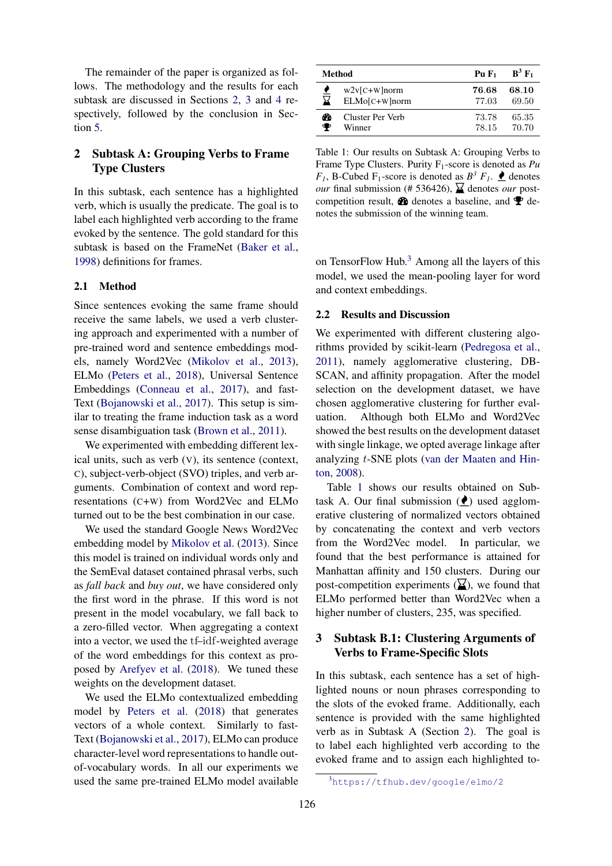The remainder of the paper is organized as follows. The methodology and the results for each subtask are discussed in Sections [2,](#page-1-0) [3](#page-1-1) and [4](#page-2-0) respectively, followed by the conclusion in Section [5.](#page-3-2)

# <span id="page-1-0"></span>2 Subtask A: Grouping Verbs to Frame Type Clusters

In this subtask, each sentence has a highlighted verb, which is usually the predicate. The goal is to label each highlighted verb according to the frame evoked by the sentence. The gold standard for this subtask is based on the FrameNet [\(Baker et al.,](#page-3-0) [1998\)](#page-3-0) definitions for frames.

### 2.1 Method

Since sentences evoking the same frame should receive the same labels, we used a verb clustering approach and experimented with a number of pre-trained word and sentence embeddings models, namely Word2Vec [\(Mikolov et al.,](#page-4-9) [2013\)](#page-4-9), ELMo [\(Peters et al.,](#page-4-10) [2018\)](#page-4-10), Universal Sentence Embeddings [\(Conneau et al.,](#page-4-11) [2017\)](#page-4-11), and fast-Text [\(Bojanowski et al.,](#page-4-12) [2017\)](#page-4-12). This setup is similar to treating the frame induction task as a word sense disambiguation task [\(Brown et al.,](#page-4-13) [2011\)](#page-4-13).

We experimented with embedding different lexical units, such as verb (V), its sentence (context, C), subject-verb-object (SVO) triples, and verb arguments. Combination of context and word representations (C+W) from Word2Vec and ELMo turned out to be the best combination in our case.

We used the standard Google News Word2Vec embedding model by [Mikolov et al.](#page-4-9) [\(2013\)](#page-4-9). Since this model is trained on individual words only and the SemEval dataset contained phrasal verbs, such as *fall back* and *buy out*, we have considered only the first word in the phrase. If this word is not present in the model vocabulary, we fall back to a zero-filled vector. When aggregating a context into a vector, we used the tf–idf-weighted average of the word embeddings for this context as proposed by [Arefyev et al.](#page-3-1) [\(2018\)](#page-3-1). We tuned these weights on the development dataset.

We used the ELMo contextualized embedding model by [Peters et al.](#page-4-10) [\(2018\)](#page-4-10) that generates vectors of a whole context. Similarly to fast-Text [\(Bojanowski et al.,](#page-4-12) [2017\)](#page-4-12), ELMo can produce character-level word representations to handle outof-vocabulary words. In all our experiments we used the same pre-trained ELMo model available

<span id="page-1-3"></span>

| Method |                  | $PuF_1$ | $B^3 F_1$ |
|--------|------------------|---------|-----------|
| ⊻      | $w2v$ [C+W]norm  | 76.68   | 68.10     |
|        | $ELMo[C+W]$ norm | 77.03   | 69.50     |
| ക      | Cluster Per Verb | 73.78   | 65.35     |
| ●      | Winner           | 78.15   | 70.70     |

Table 1: Our results on Subtask A: Grouping Verbs to Frame Type Clusters. Purity F1-score is denoted as *Pu F*<sub>1</sub>, B-Cubed F<sub>1</sub>-score is denoted as  $B^3$  *F*<sub>1</sub>.  $\bullet$  denotes *our* final submission (# 536426),  $\overline{\mathbf{\Sigma}}$  denotes *our* postcompetition result,  $\bullet\bullet$  denotes a baseline, and  $\bullet\bullet$  denotes the submission of the winning team.

on TensorFlow Hub. $3$  Among all the layers of this model, we used the mean-pooling layer for word and context embeddings.

### 2.2 Results and Discussion

We experimented with different clustering algorithms provided by scikit-learn [\(Pedregosa et al.,](#page-4-14) [2011\)](#page-4-14), namely agglomerative clustering, DB-SCAN, and affinity propagation. After the model selection on the development dataset, we have chosen agglomerative clustering for further evaluation. Although both ELMo and Word2Vec showed the best results on the development dataset with single linkage, we opted average linkage after analyzing t-SNE plots [\(van der Maaten and Hin](#page-4-15)[ton,](#page-4-15) [2008\)](#page-4-15).

Table [1](#page-1-3) shows our results obtained on Subtask A. Our final submission  $(\bullet)$  used agglomerative clustering of normalized vectors obtained by concatenating the context and verb vectors from the Word2Vec model. In particular, we found that the best performance is attained for Manhattan affinity and 150 clusters. During our post-competition experiments  $(\underline{\mathbf{X}})$ , we found that ELMo performed better than Word2Vec when a higher number of clusters, 235, was specified.

# <span id="page-1-1"></span>3 Subtask B.1: Clustering Arguments of Verbs to Frame-Specific Slots

In this subtask, each sentence has a set of highlighted nouns or noun phrases corresponding to the slots of the evoked frame. Additionally, each sentence is provided with the same highlighted verb as in Subtask A (Section [2\)](#page-1-0). The goal is to label each highlighted verb according to the evoked frame and to assign each highlighted to-

<span id="page-1-2"></span><sup>3</sup><https://tfhub.dev/google/elmo/2>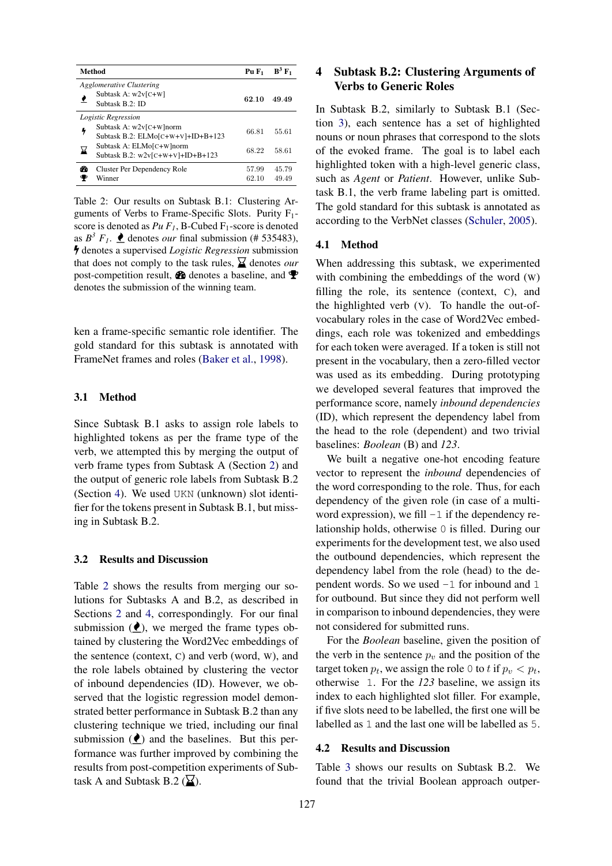<span id="page-2-1"></span>

| Method                                                               | $PuF_1$        | $B^3 F_1$      |
|----------------------------------------------------------------------|----------------|----------------|
| Agglomerative Clustering<br>Subtask A: w2v[C+W]                      | 62.10          | 49.49          |
| Subtask B.2: ID<br>Logistic Regression                               |                |                |
| Subtask A: w2v[C+W]norm<br>4<br>Subtask B.2: ELMo $[C+W+V]+ID+B+123$ | 66.81          | 55.61          |
| Subtask A: ELMo[C+W]norm<br>⊠<br>Subtask B.2: $w2v[C+W+V]+ID+B+123$  | 68.22          | 58.61          |
| Cluster Per Dependency Role<br>m<br>Winner                           | 57.99<br>62.10 | 45.79<br>49.49 |

Table 2: Our results on Subtask B.1: Clustering Arguments of Verbs to Frame-Specific Slots. Purity F1 score is denoted as  $Pu \, F_I$ , B-Cubed  $F_I$ -score is denoted as  $B^3$   $F_1$ .  $\bullet$  denotes *our* final submission (# 535483), denotes a supervised *Logistic Regression* submission that does not comply to the task rules,  $\sum$  denotes *our* post-competition result,  $\otimes$  denotes a baseline, and  $\otimes$ denotes the submission of the winning team.

ken a frame-specific semantic role identifier. The gold standard for this subtask is annotated with FrameNet frames and roles [\(Baker et al.,](#page-3-0) [1998\)](#page-3-0).

#### 3.1 Method

Since Subtask B.1 asks to assign role labels to highlighted tokens as per the frame type of the verb, we attempted this by merging the output of verb frame types from Subtask A (Section [2\)](#page-1-0) and the output of generic role labels from Subtask B.2 (Section [4\)](#page-2-0). We used UKN (unknown) slot identifier for the tokens present in Subtask B.1, but missing in Subtask B.2.

#### 3.2 Results and Discussion

Table [2](#page-2-1) shows the results from merging our solutions for Subtasks A and B.2, as described in Sections [2](#page-1-0) and [4,](#page-2-0) correspondingly. For our final submission  $(Q)$ , we merged the frame types obtained by clustering the Word2Vec embeddings of the sentence (context, C) and verb (word, W), and the role labels obtained by clustering the vector of inbound dependencies (ID). However, we observed that the logistic regression model demonstrated better performance in Subtask B.2 than any clustering technique we tried, including our final submission  $(\bullet)$  and the baselines. But this performance was further improved by combining the results from post-competition experiments of Subtask A and Subtask B.2 ( $\mathbf{\Sigma}$ ).

# <span id="page-2-0"></span>4 Subtask B.2: Clustering Arguments of Verbs to Generic Roles

In Subtask B.2, similarly to Subtask B.1 (Section [3\)](#page-1-1), each sentence has a set of highlighted nouns or noun phrases that correspond to the slots of the evoked frame. The goal is to label each highlighted token with a high-level generic class, such as *Agent* or *Patient*. However, unlike Subtask B.1, the verb frame labeling part is omitted. The gold standard for this subtask is annotated as according to the VerbNet classes [\(Schuler,](#page-4-7) [2005\)](#page-4-7).

### 4.1 Method

When addressing this subtask, we experimented with combining the embeddings of the word (W) filling the role, its sentence (context, C), and the highlighted verb (V). To handle the out-ofvocabulary roles in the case of Word2Vec embeddings, each role was tokenized and embeddings for each token were averaged. If a token is still not present in the vocabulary, then a zero-filled vector was used as its embedding. During prototyping we developed several features that improved the performance score, namely *inbound dependencies* (ID), which represent the dependency label from the head to the role (dependent) and two trivial baselines: *Boolean* (B) and *123*.

We built a negative one-hot encoding feature vector to represent the *inbound* dependencies of the word corresponding to the role. Thus, for each dependency of the given role (in case of a multiword expression), we fill  $-1$  if the dependency relationship holds, otherwise 0 is filled. During our experiments for the development test, we also used the outbound dependencies, which represent the dependency label from the role (head) to the dependent words. So we used  $-1$  for inbound and 1 for outbound. But since they did not perform well in comparison to inbound dependencies, they were not considered for submitted runs.

For the *Boolean* baseline, given the position of the verb in the sentence  $p_v$  and the position of the target token  $p_t$ , we assign the role 0 to t if  $p_v < p_t$ , otherwise 1. For the *123* baseline, we assign its index to each highlighted slot filler. For example, if five slots need to be labelled, the first one will be labelled as 1 and the last one will be labelled as 5.

### 4.2 Results and Discussion

Table [3](#page-3-3) shows our results on Subtask B.2. We found that the trivial Boolean approach outper-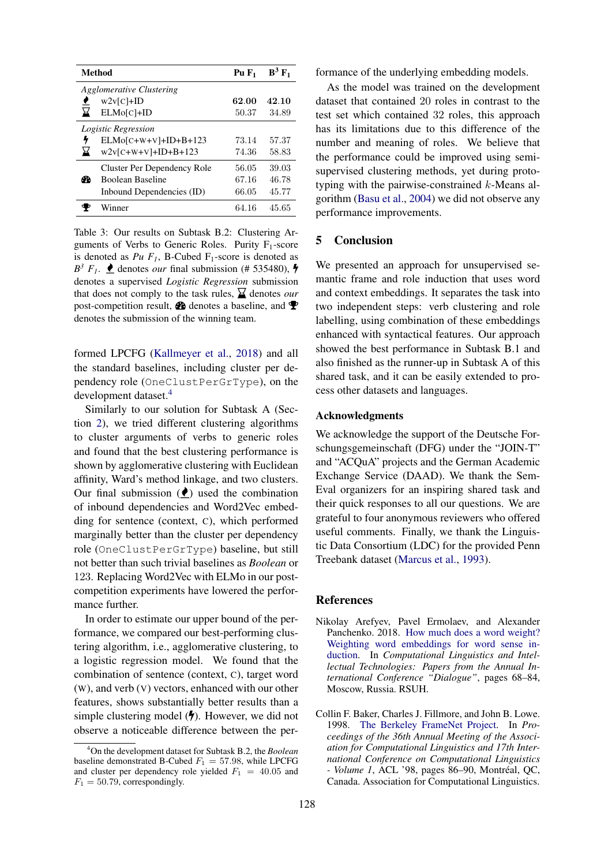<span id="page-3-3"></span>

| <b>Method</b>                   |                             | $PuF_1$ | $B^3 F_1$ |  |  |
|---------------------------------|-----------------------------|---------|-----------|--|--|
| <b>Agglomerative Clustering</b> |                             |         |           |  |  |
|                                 | $w2v[C]+ID$                 | 62.00   | 42.10     |  |  |
| ⊠                               | $ELMo[C]+ID$                | 50.37   | 34.89     |  |  |
| Logistic Regression             |                             |         |           |  |  |
| 4                               | $ELMo[C+W+V]+ID+B+123$      | 73.14   | 57.37     |  |  |
| ⊻                               | $w2v[$ C+W+V]+ID+B+123      | 74.36   | 58.83     |  |  |
| ക                               | Cluster Per Dependency Role | 56.05   | 39.03     |  |  |
|                                 | <b>Boolean Baseline</b>     | 67.16   | 46.78     |  |  |
|                                 | Inbound Dependencies (ID)   | 66.05   | 45.77     |  |  |
|                                 | Winner                      | 64.16   | 45.65     |  |  |

Table 3: Our results on Subtask B.2: Clustering Arguments of Verbs to Generic Roles. Purity  $F_1$ -score is denoted as  $Pu \, F_1$ , B-Cubed F<sub>1</sub>-score is denoted as  $B^3$   $F_1$ .  $\bullet$  denotes *our* final submission (# 535480),  $\bullet$ denotes a supervised *Logistic Regression* submission that does not comply to the task rules,  $\sum$  denotes *our* post-competition result,  $\mathbf{\Omega}$  denotes a baseline, and  $\mathbf{\Psi}$ denotes the submission of the winning team.

formed LPCFG [\(Kallmeyer et al.,](#page-4-4) [2018\)](#page-4-4) and all the standard baselines, including cluster per dependency role (OneClustPerGrType), on the development dataset.[4](#page-3-4)

Similarly to our solution for Subtask A (Section [2\)](#page-1-0), we tried different clustering algorithms to cluster arguments of verbs to generic roles and found that the best clustering performance is shown by agglomerative clustering with Euclidean affinity, Ward's method linkage, and two clusters. Our final submission  $($ **)** used the combination of inbound dependencies and Word2Vec embedding for sentence (context, C), which performed marginally better than the cluster per dependency role (OneClustPerGrType) baseline, but still not better than such trivial baselines as *Boolean* or 123. Replacing Word2Vec with ELMo in our postcompetition experiments have lowered the performance further.

In order to estimate our upper bound of the performance, we compared our best-performing clustering algorithm, i.e., agglomerative clustering, to a logistic regression model. We found that the combination of sentence (context, C), target word (W), and verb (V) vectors, enhanced with our other features, shows substantially better results than a simple clustering model  $(\bigvee)$ . However, we did not observe a noticeable difference between the performance of the underlying embedding models.

As the model was trained on the development dataset that contained 20 roles in contrast to the test set which contained 32 roles, this approach has its limitations due to this difference of the number and meaning of roles. We believe that the performance could be improved using semisupervised clustering methods, yet during prototyping with the pairwise-constrained k-Means algorithm [\(Basu et al.,](#page-4-16) [2004\)](#page-4-16) we did not observe any performance improvements.

## <span id="page-3-2"></span>5 Conclusion

We presented an approach for unsupervised semantic frame and role induction that uses word and context embeddings. It separates the task into two independent steps: verb clustering and role labelling, using combination of these embeddings enhanced with syntactical features. Our approach showed the best performance in Subtask B.1 and also finished as the runner-up in Subtask A of this shared task, and it can be easily extended to process other datasets and languages.

### Acknowledgments

We acknowledge the support of the Deutsche Forschungsgemeinschaft (DFG) under the "JOIN-T" and "ACQuA" projects and the German Academic Exchange Service (DAAD). We thank the Sem-Eval organizers for an inspiring shared task and their quick responses to all our questions. We are grateful to four anonymous reviewers who offered useful comments. Finally, we thank the Linguistic Data Consortium (LDC) for the provided Penn Treebank dataset [\(Marcus et al.,](#page-4-17) [1993\)](#page-4-17).

#### References

- <span id="page-3-1"></span>Nikolay Arefyev, Pavel Ermolaev, and Alexander Panchenko. 2018. [How much does a word weight?](http://www.dialog-21.ru/media/4538/arefyevn_ermolaevp_panchenkoa.pdf) [Weighting word embeddings for word sense in](http://www.dialog-21.ru/media/4538/arefyevn_ermolaevp_panchenkoa.pdf)[duction.](http://www.dialog-21.ru/media/4538/arefyevn_ermolaevp_panchenkoa.pdf) In *Computational Linguistics and Intellectual Technologies: Papers from the Annual International Conference "Dialogue"*, pages 68–84, Moscow, Russia. RSUH.
- <span id="page-3-0"></span>Collin F. Baker, Charles J. Fillmore, and John B. Lowe. 1998. [The Berkeley FrameNet Project.](https://doi.org/10.3115/980845.980860) In *Proceedings of the 36th Annual Meeting of the Association for Computational Linguistics and 17th International Conference on Computational Linguistics - Volume 1, ACL '98, pages 86–90, Montréal, QC,* Canada. Association for Computational Linguistics.

<span id="page-3-4"></span><sup>4</sup>On the development dataset for Subtask B.2, the *Boolean* baseline demonstrated B-Cubed  $F_1 = 57.98$ , while LPCFG and cluster per dependency role yielded  $F_1 = 40.05$  and  $F_1 = 50.79$ , correspondingly.